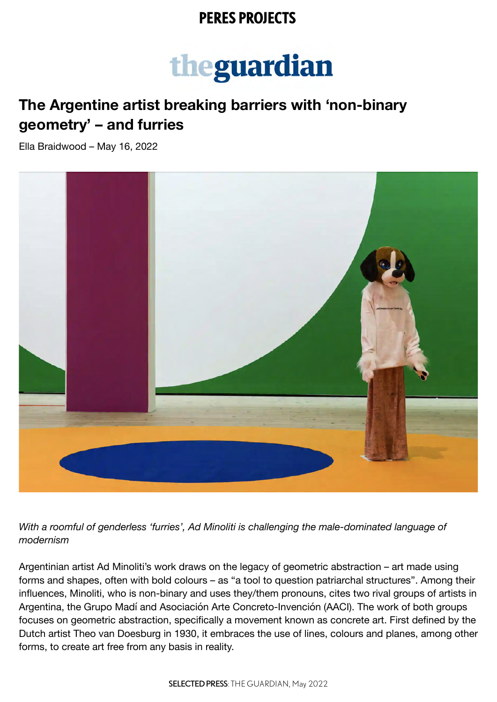### **PERES PROJECTS**

# theguardian

# **The Argentine artist breaking barriers with 'non-binary geometry' – and furries**

Ella Braidwood – May 16, 2022



*With a roomful of genderless 'furries', Ad Minoliti is challenging the male-dominated language of modernism*

Argentinian artist Ad Minoliti's work draws on the legacy of geometric abstraction – art made using forms and shapes, often with bold colours – as "a tool to question patriarchal structures". Among their influences, Minoliti, who is non-binary and uses they/them pronouns, cites two rival groups of artists in Argentina, the Grupo Madí and Asociación Arte Concreto-Invención (AACI). The work of both groups focuses on geometric abstraction, specifically a movement known as concrete art. First defined by the Dutch artist Theo van Doesburg in 1930, it embraces the use of lines, colours and planes, among other forms, to create art free from any basis in reality.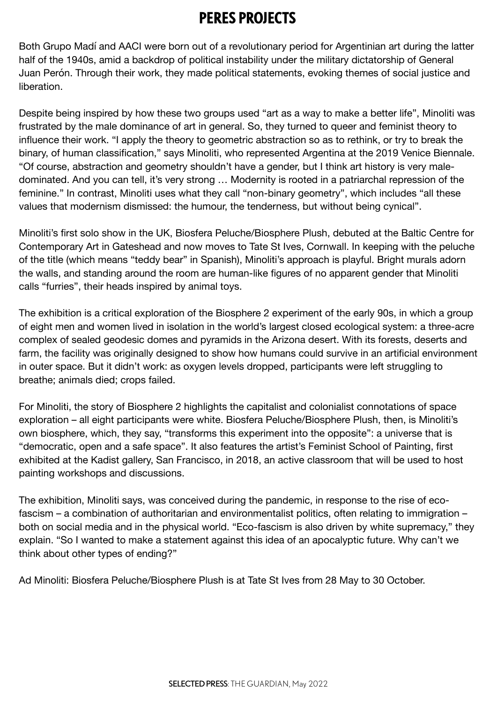# **PERES PROJECTS**

Both Grupo Madí and AACI were born out of a revolutionary period for Argentinian art during the latter half of the 1940s, amid a backdrop of political instability under the military dictatorship of General Juan Perón. Through their work, they made political statements, evoking themes of social justice and liberation.

Despite being inspired by how these two groups used "art as a way to make a better life", Minoliti was frustrated by the male dominance of art in general. So, they turned to queer and feminist theory to influence their work. "I apply the theory to geometric abstraction so as to rethink, or try to break the binary, of human classification," says Minoliti, who represented Argentina at the 2019 Venice Biennale. "Of course, abstraction and geometry shouldn't have a gender, but I think art history is very maledominated. And you can tell, it's very strong … Modernity is rooted in a patriarchal repression of the feminine." In contrast, Minoliti uses what they call "non-binary geometry", which includes "all these values that modernism dismissed: the humour, the tenderness, but without being cynical".

Minoliti's first solo show in the UK, Biosfera Peluche/Biosphere Plush, debuted at the Baltic Centre for Contemporary Art in Gateshead and now moves to Tate St Ives, Cornwall. In keeping with the peluche of the title (which means "teddy bear" in Spanish), Minoliti's approach is playful. Bright murals adorn the walls, and standing around the room are human-like figures of no apparent gender that Minoliti calls "furries", their heads inspired by animal toys.

The exhibition is a critical exploration of the Biosphere 2 experiment of the early 90s, in which a group of eight men and women lived in isolation in the world's largest closed ecological system: a three-acre complex of sealed geodesic domes and pyramids in the Arizona desert. With its forests, deserts and farm, the facility was originally designed to show how humans could survive in an artificial environment in outer space. But it didn't work: as oxygen levels dropped, participants were left struggling to breathe; animals died; crops failed.

For Minoliti, the story of Biosphere 2 highlights the capitalist and colonialist connotations of space exploration – all eight participants were white. Biosfera Peluche/Biosphere Plush, then, is Minoliti's own biosphere, which, they say, "transforms this experiment into the opposite": a universe that is "democratic, open and a safe space". It also features the artist's Feminist School of Painting, first exhibited at the Kadist gallery, San Francisco, in 2018, an active classroom that will be used to host painting workshops and discussions.

The exhibition, Minoliti says, was conceived during the pandemic, in response to the rise of ecofascism – a combination of authoritarian and environmentalist politics, often relating to immigration – both on social media and in the physical world. "Eco-fascism is also driven by white supremacy," they explain. "So I wanted to make a statement against this idea of an apocalyptic future. Why can't we think about other types of ending?"

Ad Minoliti: Biosfera Peluche/Biosphere Plush is at Tate St Ives from 28 May to 30 October.